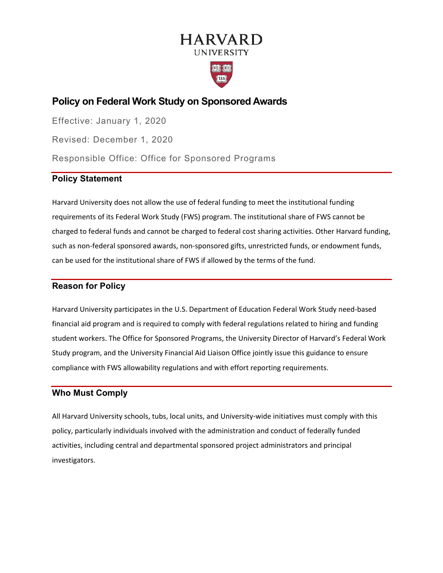# **HARVARD UNIVERSITY**



## **Policy on Federal Work Study on Sponsored Awards**

Effective: January 1, 2020 Revised: December 1, 2020 Responsible Office: Office for Sponsored Programs

## **Policy Statement**

Harvard University does not allow the use of federal funding to meet the institutional funding requirements of its Federal Work Study (FWS) program. The institutional share of FWS cannot be charged to federal funds and cannot be charged to federal cost sharing activities. Other Harvard funding, such as non-federal sponsored awards, non-sponsored gifts, unrestricted funds, or endowment funds, can be used for the institutional share of FWS if allowed by the terms of the fund.

## **Reason for Policy**

Harvard University participates in the U.S. Department of Education Federal Work Study need-based financial aid program and is required to comply with federal regulations related to hiring and funding student workers. The Office for Sponsored Programs, the University Director of Harvard's Federal Work Study program, and the University Financial Aid Liaison Office jointly issue this guidance to ensure compliance with FWS allowability regulations and with effort reporting requirements.

## **Who Must Comply**

All Harvard University schools, tubs, local units, and University-wide initiatives must comply with this policy, particularly individuals involved with the administration and conduct of federally funded activities, including central and departmental sponsored project administrators and principal investigators.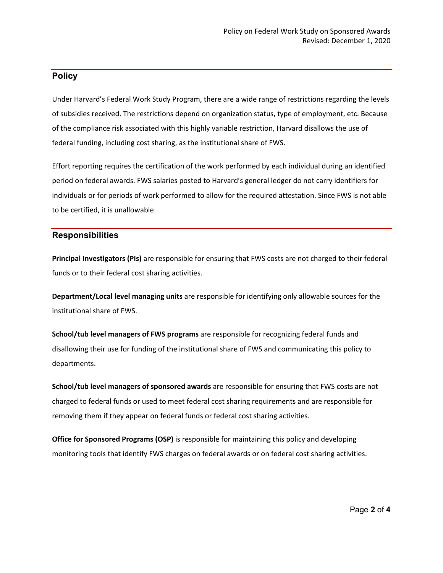## **Policy**

Under Harvard's Federal Work Study Program, there are a wide range of restrictions regarding the levels of subsidies received. The restrictions depend on organization status, type of employment, etc. Because of the compliance risk associated with this highly variable restriction, Harvard disallows the use of federal funding, including cost sharing, as the institutional share of FWS.

Effort reporting requires the certification of the work performed by each individual during an identified period on federal awards. FWS salaries posted to Harvard's general ledger do not carry identifiers for individuals or for periods of work performed to allow for the required attestation. Since FWS is not able to be certified, it is unallowable.

#### **Responsibilities**

**Principal Investigators (PIs)** are responsible for ensuring that FWS costs are not charged to their federal funds or to their federal cost sharing activities.

**Department/Local level managing units** are responsible for identifying only allowable sources for the institutional share of FWS.

**School/tub level managers of FWS programs** are responsible for recognizing federal funds and disallowing their use for funding of the institutional share of FWS and communicating this policy to departments.

**School/tub level managers of sponsored awards** are responsible for ensuring that FWS costs are not charged to federal funds or used to meet federal cost sharing requirements and are responsible for removing them if they appear on federal funds or federal cost sharing activities.

**Office for Sponsored Programs (OSP)** is responsible for maintaining this policy and developing monitoring tools that identify FWS charges on federal awards or on federal cost sharing activities.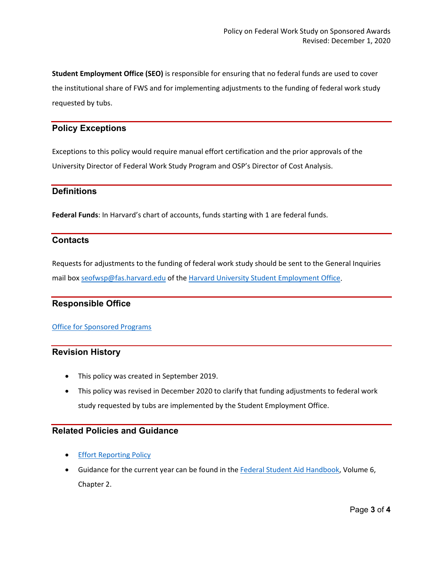**Student Employment Office (SEO)** is responsible for ensuring that no federal funds are used to cover the institutional share of FWS and for implementing adjustments to the funding of federal work study requested by tubs.

#### **Policy Exceptions**

Exceptions to this policy would require manual effort certification and the prior approvals of the University Director of Federal Work Study Program and OSP's Director of Cost Analysis.

#### **Definitions**

**Federal Funds**: In Harvard's chart of accounts, funds starting with 1 are federal funds.

#### **Contacts**

Requests for adjustments to the funding of federal work study should be sent to the General Inquiries mail box [seofwsp@fas.harvard.edu](mailto:seofwsp@fas.harvard.edu) of the Harvard University [Student Employment Office.](https://seo.harvard.edu/)

#### **Responsible Office**

#### [Office for Sponsored Programs](https://osp.finance.harvard.edu/)

#### **Revision History**

- This policy was created in September 2019.
- This policy was revised in December 2020 to clarify that funding adjustments to federal work study requested by tubs are implemented by the Student Employment Office.

## **Related Policies and Guidance**

- **[Effort Reporting Policy](https://osp.finance.harvard.edu/effort-reporting-policy)**
- Guidance for the current year can be found in the [Federal Student Aid Handbook,](https://ifap.ed.gov/ilibrary/document-types/federal-student-aid-handbook) Volume 6, Chapter 2.